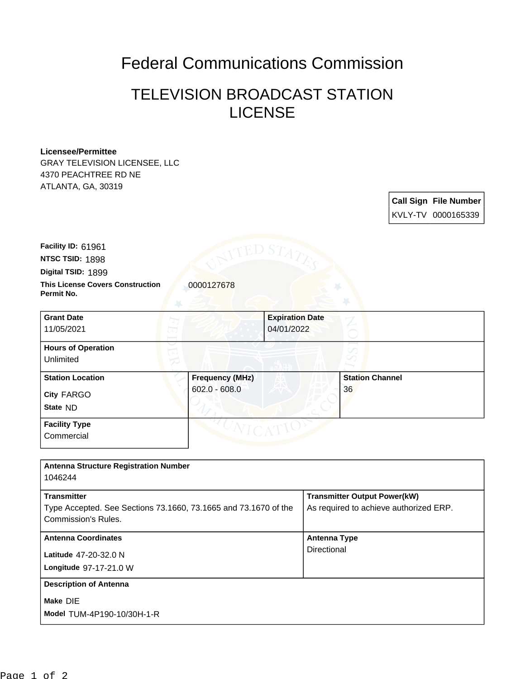## Federal Communications Commission

## TELEVISION BROADCAST STATION LICENSE

## **Licensee/Permittee**

GRAY TELEVISION LICENSEE, LLC 4370 PEACHTREE RD NE ATLANTA, GA, 30319

| <b>Call Sign File Number</b> |
|------------------------------|
| KVLY-TV 0000165339           |

**NTSC TSID:** 1898 **Facility ID:** 61961

**Digital TSID:** 1899

**Permit No.**

**This License Covers Construction**  0000127678

| <b>Grant Date</b><br>11/05/2021                   |                                           | <b>Expiration Date</b><br>04/01/2022 |                              |  |
|---------------------------------------------------|-------------------------------------------|--------------------------------------|------------------------------|--|
| <b>Hours of Operation</b><br>Unlimited            |                                           |                                      | U                            |  |
| <b>Station Location</b><br>City FARGO<br>State ND | <b>Frequency (MHz)</b><br>$602.0 - 608.0$ |                                      | <b>Station Channel</b><br>36 |  |
| <b>Facility Type</b><br>Commercial                |                                           |                                      |                              |  |

| <b>Antenna Structure Registration Number</b><br>1046244                                                      |                                                                               |
|--------------------------------------------------------------------------------------------------------------|-------------------------------------------------------------------------------|
| <b>Transmitter</b><br>Type Accepted. See Sections 73.1660, 73.1665 and 73.1670 of the<br>Commission's Rules. | <b>Transmitter Output Power(kW)</b><br>As required to achieve authorized ERP. |
| <b>Antenna Coordinates</b><br>Latitude 47-20-32.0 N<br>Longitude 97-17-21.0 W                                | Antenna Type<br>Directional                                                   |
| <b>Description of Antenna</b><br>Make DIE<br>Model TUM-4P190-10/30H-1-R                                      |                                                                               |